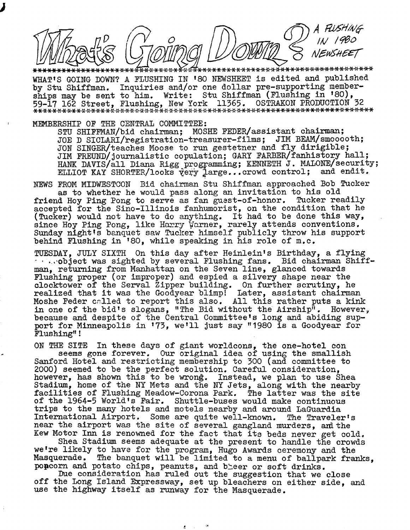NEWSHEET

\*\*\*\*\*\*\*\*\*\*\* WHAT'S GOING DOWN? A FLUSHING IN '80 NEWSHEET is edited and published by Stu Shiffman. Inquiries and/or one dollar pre-supporting memberships may be sent to him. Write: Stu Shiffman (Flushing in '80), OSTRAKON PRODUCTION 32 59-17 162 Street, Flushing, New York 11365. OSTRAKON PRODUCTION 32

MEMBERSHIP OF THE CENTRAL COMMITTEE:

STU SHIFFMAN/bid chairman; MOSHE FEDER/assistant chairman; JOE D SICLARI/registration-treasurer-films; JIM BEAM/smooooth; JON SINGER/teaches Moose to run gestetner and fly dirigible; JIM FREUND/journalistic copulation; GARY FARBER/fanhistory hall; HANK DAVIS/all Diana Rigg programming; KENNETH J. MALONE/Security; ELLIOT KAY SHORTER/looks very large...crowd control; and endit.

NEWS FROM MIDWESTCON Bid chairman Stu Shiffman approached Bob Tucker as to whether he would pass along an invitation to his old Tucker readily friend Hoy Ping Pong to serve as fan guest-of-honor. accepted for the Sino-Illinois fanhumorist, on the condition that he (Tucker) would not have to do anything. It had to be done this way, since Hoy Ping Pong, like Harry Warner, rarely attends conventions. Sunday night's banquet saw Tucker himself publicly throw his support behind Flushing in '80. while speaking in his role of m.c.

TUESDAY. JULY SIXTH On this day after Heinlein's Birthday, a flying . Arobject was sighted by several Flushing fans. Bid chairman Shiffman, returning from Manhattan on the Seven line, glanced towards Flushing proper (or improper) and espied a silvery shape near the clocktower of the Serval Zipper building. On further scrutiny, he realized that it was the Goodyear blimp! Later, assistant chairman Moshe Feder called to report this also. All this rather puts a kink in one of the bid's slogans, "The Bid without the Airship". However, because and despite of the Central Committee's long and abiding sup-<br>port for Minneapolis in '73, we'll just say "1980 is a Goodyear for Flushing"!

ON THE SITE In these days of giant worldcons, the one-hotel conseems gone forever. Our original idea of using the smallish Sanford Hotel and restricting membership to 300 (and committee to 2000) seemed to be the perfect solution. Careful consideration, however, has shown this to be wrong. Instead, we plan to use Shea Stadium, home of the NY Mets and the NY Jets, along with the nearby facilities of Flushing Meadow-Corona Park. The latter was the site of the 1964-5 World's Fair. Shuttle-buses would make continuous trips to the many hotels and motels nearby and around LaGuardia International Airport. Some are quite well-known. The Traveler's near the airport was the site of several gangland murders, and the Kew Motor Inn is renowned for the fact that its beds never get cold.

Shea Stadium seems adequate at the present to handle the crowds we're likely to have for the program, Hugo Awards ceremony and the Masquerade. The banquet will be limited to a menu of ballpark franks. poncorn and potato chips, peanuts, and breer or soft drinks.

Due consideration has ruled out the suggestion that we close off the Long Island Expressway, set up bleachers on either side, and use the highway itself as runway for the Masquerade.